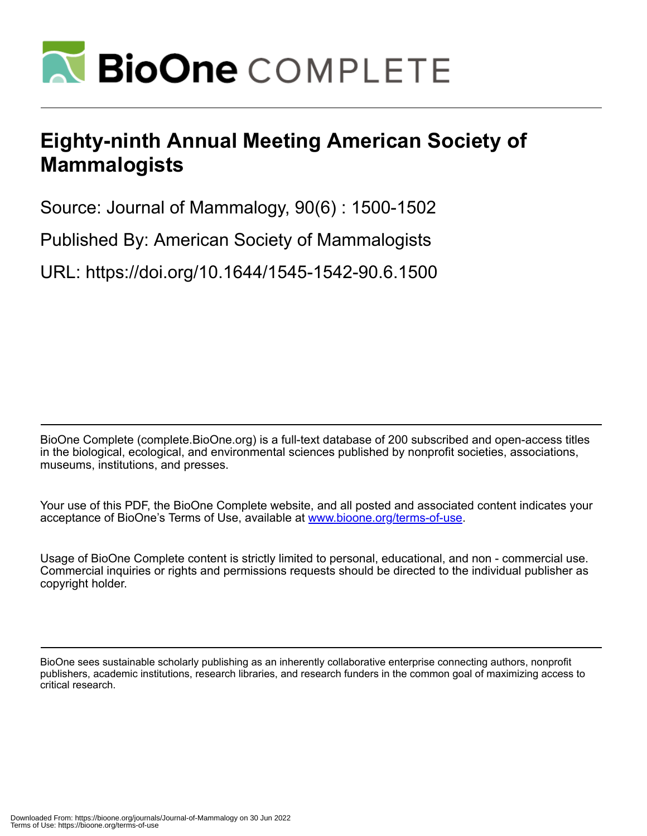

# **Eighty-ninth Annual Meeting American Society of Mammalogists**

Source: Journal of Mammalogy, 90(6) : 1500-1502

Published By: American Society of Mammalogists

URL: https://doi.org/10.1644/1545-1542-90.6.1500

BioOne Complete (complete.BioOne.org) is a full-text database of 200 subscribed and open-access titles in the biological, ecological, and environmental sciences published by nonprofit societies, associations, museums, institutions, and presses.

Your use of this PDF, the BioOne Complete website, and all posted and associated content indicates your acceptance of BioOne's Terms of Use, available at www.bioone.org/terms-of-use.

Usage of BioOne Complete content is strictly limited to personal, educational, and non - commercial use. Commercial inquiries or rights and permissions requests should be directed to the individual publisher as copyright holder.

BioOne sees sustainable scholarly publishing as an inherently collaborative enterprise connecting authors, nonprofit publishers, academic institutions, research libraries, and research funders in the common goal of maximizing access to critical research.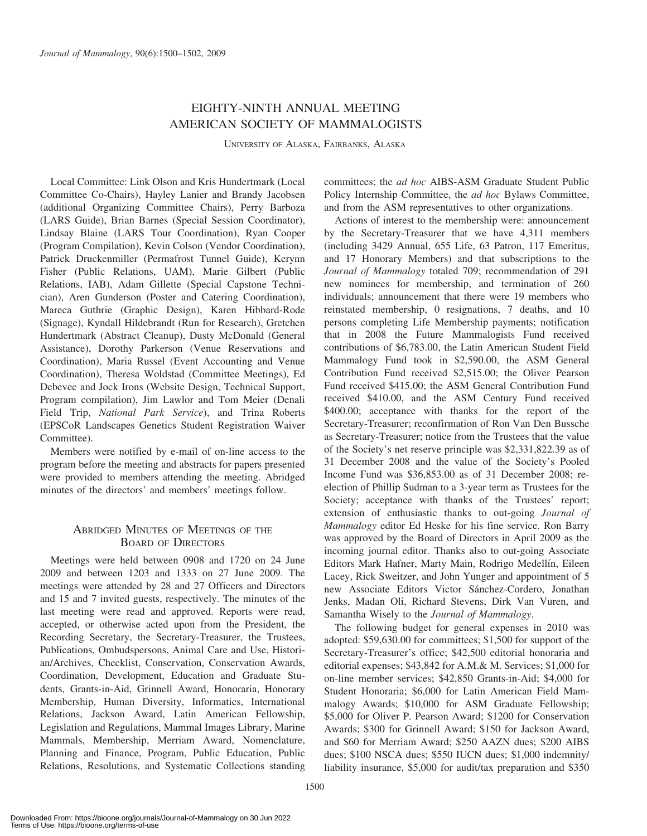# EIGHTY-NINTH ANNUAL MEETING AMERICAN SOCIETY OF MAMMALOGISTS

UNIVERSITY OF ALASKA, FAIRBANKS, ALASKA

Local Committee: Link Olson and Kris Hundertmark (Local Committee Co-Chairs), Hayley Lanier and Brandy Jacobsen (additional Organizing Committee Chairs), Perry Barboza (LARS Guide), Brian Barnes (Special Session Coordinator), Lindsay Blaine (LARS Tour Coordination), Ryan Cooper (Program Compilation), Kevin Colson (Vendor Coordination), Patrick Druckenmiller (Permafrost Tunnel Guide), Kerynn Fisher (Public Relations, UAM), Marie Gilbert (Public Relations, IAB), Adam Gillette (Special Capstone Technician), Aren Gunderson (Poster and Catering Coordination), Mareca Guthrie (Graphic Design), Karen Hibbard-Rode (Signage), Kyndall Hildebrandt (Run for Research), Gretchen Hundertmark (Abstract Cleanup), Dusty McDonald (General Assistance), Dorothy Parkerson (Venue Reservations and Coordination), Maria Russel (Event Accounting and Venue Coordination), Theresa Woldstad (Committee Meetings), Ed Debevec and Jock Irons (Website Design, Technical Support, Program compilation), Jim Lawlor and Tom Meier (Denali Field Trip, National Park Service), and Trina Roberts (EPSCoR Landscapes Genetics Student Registration Waiver Committee).

Members were notified by e-mail of on-line access to the program before the meeting and abstracts for papers presented were provided to members attending the meeting. Abridged minutes of the directors' and members' meetings follow.

## ABRIDGED MINUTES OF MEETINGS OF THE BOARD OF DIRECTORS

Meetings were held between 0908 and 1720 on 24 June 2009 and between 1203 and 1333 on 27 June 2009. The meetings were attended by 28 and 27 Officers and Directors and 15 and 7 invited guests, respectively. The minutes of the last meeting were read and approved. Reports were read, accepted, or otherwise acted upon from the President, the Recording Secretary, the Secretary-Treasurer, the Trustees, Publications, Ombudspersons, Animal Care and Use, Historian/Archives, Checklist, Conservation, Conservation Awards, Coordination, Development, Education and Graduate Students, Grants-in-Aid, Grinnell Award, Honoraria, Honorary Membership, Human Diversity, Informatics, International Relations, Jackson Award, Latin American Fellowship, Legislation and Regulations, Mammal Images Library, Marine Mammals, Membership, Merriam Award, Nomenclature, Planning and Finance, Program, Public Education, Public Relations, Resolutions, and Systematic Collections standing committees; the ad hoc AIBS-ASM Graduate Student Public Policy Internship Committee, the *ad hoc* Bylaws Committee, and from the ASM representatives to other organizations.

Actions of interest to the membership were: announcement by the Secretary-Treasurer that we have 4,311 members (including 3429 Annual, 655 Life, 63 Patron, 117 Emeritus, and 17 Honorary Members) and that subscriptions to the Journal of Mammalogy totaled 709; recommendation of 291 new nominees for membership, and termination of 260 individuals; announcement that there were 19 members who reinstated membership, 0 resignations, 7 deaths, and 10 persons completing Life Membership payments; notification that in 2008 the Future Mammalogists Fund received contributions of \$6,783.00, the Latin American Student Field Mammalogy Fund took in \$2,590.00, the ASM General Contribution Fund received \$2,515.00; the Oliver Pearson Fund received \$415.00; the ASM General Contribution Fund received \$410.00, and the ASM Century Fund received \$400.00; acceptance with thanks for the report of the Secretary-Treasurer; reconfirmation of Ron Van Den Bussche as Secretary-Treasurer; notice from the Trustees that the value of the Society's net reserve principle was \$2,331,822.39 as of 31 December 2008 and the value of the Society's Pooled Income Fund was \$36,853.00 as of 31 December 2008; reelection of Phillip Sudman to a 3-year term as Trustees for the Society; acceptance with thanks of the Trustees' report; extension of enthusiastic thanks to out-going Journal of Mammalogy editor Ed Heske for his fine service. Ron Barry was approved by the Board of Directors in April 2009 as the incoming journal editor. Thanks also to out-going Associate Editors Mark Hafner, Marty Main, Rodrigo Medellín, Eileen Lacey, Rick Sweitzer, and John Yunger and appointment of 5 new Associate Editors Victor Sánchez-Cordero, Jonathan Jenks, Madan Oli, Richard Stevens, Dirk Van Vuren, and Samantha Wisely to the Journal of Mammalogy.

The following budget for general expenses in 2010 was adopted: \$59,630.00 for committees; \$1,500 for support of the Secretary-Treasurer's office; \$42,500 editorial honoraria and editorial expenses; \$43,842 for A.M.& M. Services; \$1,000 for on-line member services; \$42,850 Grants-in-Aid; \$4,000 for Student Honoraria; \$6,000 for Latin American Field Mammalogy Awards; \$10,000 for ASM Graduate Fellowship; \$5,000 for Oliver P. Pearson Award; \$1200 for Conservation Awards; \$300 for Grinnell Award; \$150 for Jackson Award, and \$60 for Merriam Award; \$250 AAZN dues; \$200 AIBS dues; \$100 NSCA dues; \$550 IUCN dues; \$1,000 indemnity/ liability insurance, \$5,000 for audit/tax preparation and \$350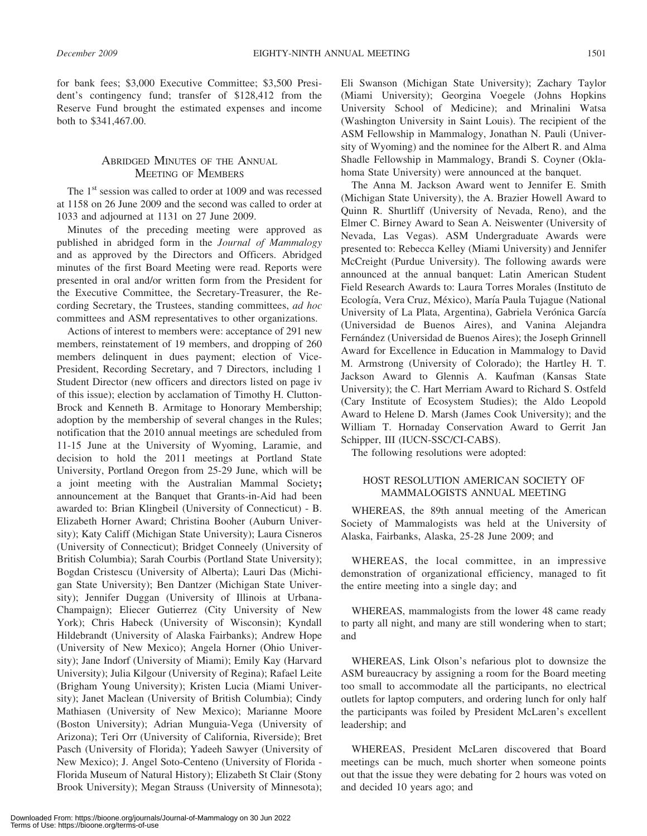for bank fees; \$3,000 Executive Committee; \$3,500 President's contingency fund; transfer of \$128,412 from the Reserve Fund brought the estimated expenses and income both to \$341,467.00.

### ABRIDGED MINUTES OF THE ANNUAL MEETING OF MEMBERS

The  $1<sup>st</sup>$  session was called to order at 1009 and was recessed at 1158 on 26 June 2009 and the second was called to order at 1033 and adjourned at 1131 on 27 June 2009.

Minutes of the preceding meeting were approved as published in abridged form in the Journal of Mammalogy and as approved by the Directors and Officers. Abridged minutes of the first Board Meeting were read. Reports were presented in oral and/or written form from the President for the Executive Committee, the Secretary-Treasurer, the Recording Secretary, the Trustees, standing committees, ad hoc committees and ASM representatives to other organizations.

Actions of interest to members were: acceptance of 291 new members, reinstatement of 19 members, and dropping of 260 members delinquent in dues payment; election of Vice-President, Recording Secretary, and 7 Directors, including 1 Student Director (new officers and directors listed on page iv of this issue); election by acclamation of Timothy H. Clutton-Brock and Kenneth B. Armitage to Honorary Membership; adoption by the membership of several changes in the Rules; notification that the 2010 annual meetings are scheduled from 11-15 June at the University of Wyoming, Laramie, and decision to hold the 2011 meetings at Portland State University, Portland Oregon from 25-29 June, which will be a joint meeting with the Australian Mammal Society; announcement at the Banquet that Grants-in-Aid had been awarded to: Brian Klingbeil (University of Connecticut) - B. Elizabeth Horner Award; Christina Booher (Auburn University); Katy Califf (Michigan State University); Laura Cisneros (University of Connecticut); Bridget Conneely (University of British Columbia); Sarah Courbis (Portland State University); Bogdan Cristescu (University of Alberta); Lauri Das (Michigan State University); Ben Dantzer (Michigan State University); Jennifer Duggan (University of Illinois at Urbana-Champaign); Eliecer Gutierrez (City University of New York); Chris Habeck (University of Wisconsin); Kyndall Hildebrandt (University of Alaska Fairbanks); Andrew Hope (University of New Mexico); Angela Horner (Ohio University); Jane Indorf (University of Miami); Emily Kay (Harvard University); Julia Kilgour (University of Regina); Rafael Leite (Brigham Young University); Kristen Lucia (Miami University); Janet Maclean (University of British Columbia); Cindy Mathiasen (University of New Mexico); Marianne Moore (Boston University); Adrian Munguia-Vega (University of Arizona); Teri Orr (University of California, Riverside); Bret Pasch (University of Florida); Yadeeh Sawyer (University of New Mexico); J. Angel Soto-Centeno (University of Florida - Florida Museum of Natural History); Elizabeth St Clair (Stony Brook University); Megan Strauss (University of Minnesota);

Eli Swanson (Michigan State University); Zachary Taylor (Miami University); Georgina Voegele (Johns Hopkins University School of Medicine); and Mrinalini Watsa (Washington University in Saint Louis). The recipient of the ASM Fellowship in Mammalogy, Jonathan N. Pauli (University of Wyoming) and the nominee for the Albert R. and Alma Shadle Fellowship in Mammalogy, Brandi S. Coyner (Oklahoma State University) were announced at the banquet.

The Anna M. Jackson Award went to Jennifer E. Smith (Michigan State University), the A. Brazier Howell Award to Quinn R. Shurtliff (University of Nevada, Reno), and the Elmer C. Birney Award to Sean A. Neiswenter (University of Nevada, Las Vegas). ASM Undergraduate Awards were presented to: Rebecca Kelley (Miami University) and Jennifer McCreight (Purdue University). The following awards were announced at the annual banquet: Latin American Student Field Research Awards to: Laura Torres Morales (Instituto de Ecología, Vera Cruz, México), María Paula Tujague (National University of La Plata, Argentina), Gabriela Verónica García (Universidad de Buenos Aires), and Vanina Alejandra Fernández (Universidad de Buenos Aires); the Joseph Grinnell Award for Excellence in Education in Mammalogy to David M. Armstrong (University of Colorado); the Hartley H. T. Jackson Award to Glennis A. Kaufman (Kansas State University); the C. Hart Merriam Award to Richard S. Ostfeld (Cary Institute of Ecosystem Studies); the Aldo Leopold Award to Helene D. Marsh (James Cook University); and the William T. Hornaday Conservation Award to Gerrit Jan Schipper, III (IUCN-SSC/CI-CABS).

The following resolutions were adopted:

#### HOST RESOLUTION AMERICAN SOCIETY OF MAMMALOGISTS ANNUAL MEETING

WHEREAS, the 89th annual meeting of the American Society of Mammalogists was held at the University of Alaska, Fairbanks, Alaska, 25-28 June 2009; and

WHEREAS, the local committee, in an impressive demonstration of organizational efficiency, managed to fit the entire meeting into a single day; and

WHEREAS, mammalogists from the lower 48 came ready to party all night, and many are still wondering when to start; and

WHEREAS, Link Olson's nefarious plot to downsize the ASM bureaucracy by assigning a room for the Board meeting too small to accommodate all the participants, no electrical outlets for laptop computers, and ordering lunch for only half the participants was foiled by President McLaren's excellent leadership; and

WHEREAS, President McLaren discovered that Board meetings can be much, much shorter when someone points out that the issue they were debating for 2 hours was voted on and decided 10 years ago; and